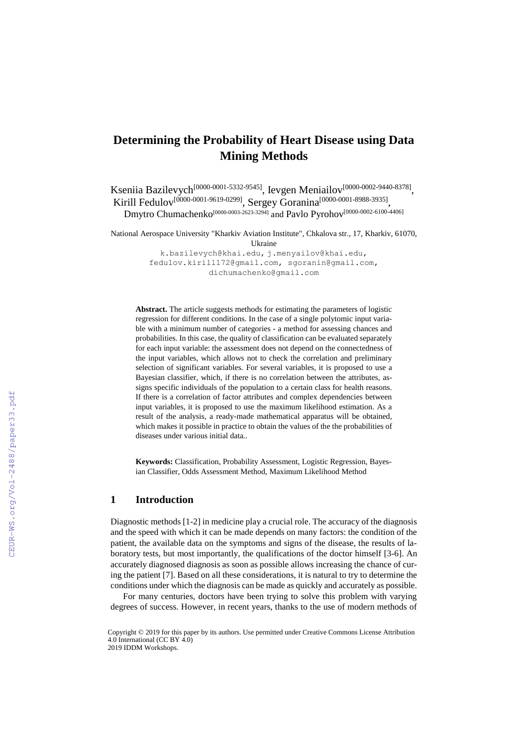# **Determining the Probability of Heart Disease using Data Mining Methods**

Kseniia Bazilevych<sup>[0000-0001-5332-9545]</sup>, Ievgen Meniailov<sup>[0000-0002-9440-8378]</sup>, Kirill Fedulov<sup>[0000-0001-9619-0299]</sup>, Sergey Goranina<sup>[0000-0001-8988-3935]</sup>,

Dmytro Chumachenko<sup>[0000-0003-2623-3294]</sup> and Pavlo Pyrohov<sup>[0000-0002-6100-4406]</sup>

National Aerospace University "Kharkiv Aviation Institute", Chkalova str., 17, Kharkiv, 61070, Ukraine

> k.bazilevych@khai.e[du,](file:///C:/Users/sekretar/Downloads/k.bazilevych@khai.edu) [j.menyailov@khai.edu,](file:///C:/Users/sekretar/Downloads/j.menyailov@khai.edu) [fedulov.kirill172@gmail.com,](mailto:fedulov.kirill172@gmail.com) [sgoranin@gmail.com,](mailto:sgoranin@gmail.com) dichumachenko@gmail.com

**Abstract.** The article suggests methods for estimating the parameters of logistic regression for different conditions. In the case of a single polytomic input variable with a minimum number of categories - a method for assessing chances and probabilities. In this case, the quality of classification can be evaluated separately for each input variable: the assessment does not depend on the connectedness of the input variables, which allows not to check the correlation and preliminary selection of significant variables. For several variables, it is proposed to use a Bayesian classifier, which, if there is no correlation between the attributes, assigns specific individuals of the population to a certain class for health reasons. If there is a correlation of factor attributes and complex dependencies between input variables, it is proposed to use the maximum likelihood estimation. As a result of the analysis, a ready-made mathematical apparatus will be obtained, which makes it possible in practice to obtain the values of the the probabilities of diseases under various initial data..

**Keywords:** Classification, Probability Assessment, Logistic Regression, Bayesian Classifier, Odds Assessment Method, Maximum Likelihood Method

#### **1 Introduction**

Diagnostic methods [1-2] in medicine play a crucial role. The accuracy of the diagnosis and the speed with which it can be made depends on many factors: the condition of the patient, the available data on the symptoms and signs of the disease, the results of laboratory tests, but most importantly, the qualifications of the doctor himself [3-6]. An accurately diagnosed diagnosis as soon as possible allows increasing the chance of curing the patient [7]. Based on all these considerations, it is natural to try to determine the conditions under which the diagnosis can be made as quickly and accurately as possible.

For many centuries, doctors have been trying to solve this problem with varying degrees of success. However, in recent years, thanks to the use of modern methods of

Copyright © 2019 for this paper by its authors. Use permitted under Creative Commons License Attribution 4.0 International (CC BY 4.0) 2019 IDDM Workshops.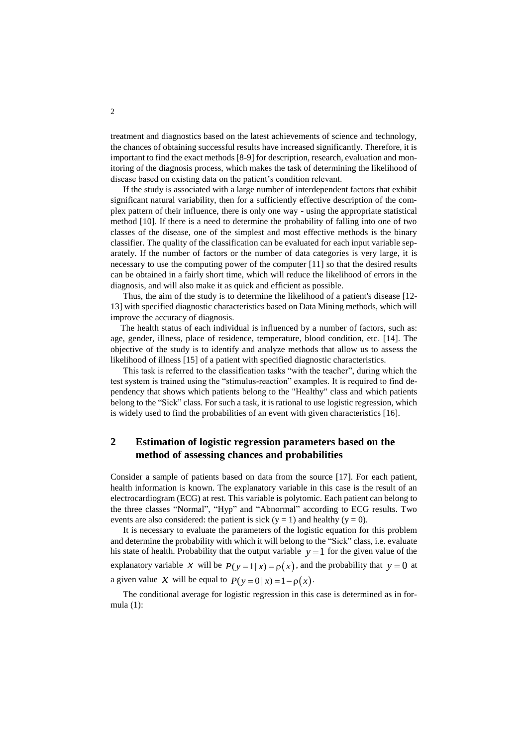treatment and diagnostics based on the latest achievements of science and technology, the chances of obtaining successful results have increased significantly. Therefore, it is important to find the exact methods [8-9] for description, research, evaluation and monitoring of the diagnosis process, which makes the task of determining the likelihood of disease based on existing data on the patient's condition relevant.

If the study is associated with a large number of interdependent factors that exhibit significant natural variability, then for a sufficiently effective description of the complex pattern of their influence, there is only one way - using the appropriate statistical method [10]. If there is a need to determine the probability of falling into one of two classes of the disease, one of the simplest and most effective methods is the binary classifier. The quality of the classification can be evaluated for each input variable separately. If the number of factors or the number of data categories is very large, it is necessary to use the computing power of the computer [11] so that the desired results can be obtained in a fairly short time, which will reduce the likelihood of errors in the diagnosis, and will also make it as quick and efficient as possible.

Thus, the aim of the study is to determine the likelihood of a patient's disease [12- 13] with specified diagnostic characteristics based on Data Mining methods, which will improve the accuracy of diagnosis.

The health status of each individual is influenced by a number of factors, such as: age, gender, illness, place of residence, temperature, blood condition, etc. [14]. The objective of the study is to identify and analyze methods that allow us to assess the likelihood of illness [15] of a patient with specified diagnostic characteristics.

This task is referred to the classification tasks "with the teacher", during which the test system is trained using the "stimulus-reaction" examples. It is required to find dependency that shows which patients belong to the "Healthy" class and which patients belong to the "Sick" class. For such a task, it is rational to use logistic regression, which is widely used to find the probabilities of an event with given characteristics [16].

# **2 Estimation of logistic regression parameters based on the method of assessing chances and probabilities**

Consider a sample of patients based on data from the source [17]. For each patient, health information is known. The explanatory variable in this case is the result of an electrocardiogram (ECG) at rest. This variable is polytomic. Each patient can belong to the three classes "Normal", "Hyp" and "Abnormal" according to ECG results. Two events are also considered: the patient is sick (y = 1) and healthy (y = 0).

It is necessary to evaluate the parameters of the logistic equation for this problem and determine the probability with which it will belong to the "Sick" class, i.e. evaluate his state of health. Probability that the output variable  $y = 1$  for the given value of the explanatory variable X will be  $P(y=1 | x) = \rho(x)$ , and the probability that  $y = 0$  at a given value *x* will be equal to  $P(y=0|x) = 1 - \rho(x)$ .

The conditional average for logistic regression in this case is determined as in formula (1):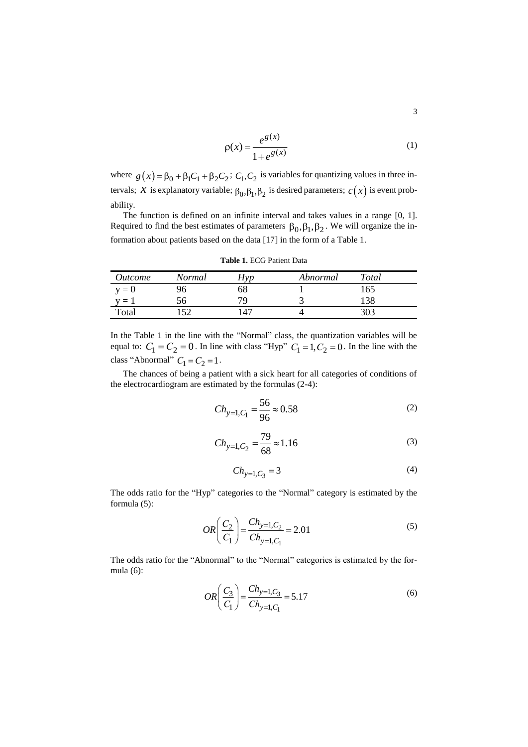$$
\rho(x) = \frac{e^{g(x)}}{1 + e^{g(x)}}
$$
\n(1)

where  $g(x) = \beta_0 + \beta_1 C_1 + \beta_2 C_2$ ;  $C_1, C_2$  is variables for quantizing values in three intervals;  $x$  is explanatory variable;  $\beta_0, \beta_1, \beta_2$  is desired parameters;  $c(x)$  is event probability.

The function is defined on an infinite interval and takes values in a range [0, 1]. Required to find the best estimates of parameters  $\beta_0, \beta_1, \beta_2$ . We will organize the information about patients based on the data [17] in the form of a Table 1.

| <i>Outcome</i> | Normal | $\iota IVD$ | Abnormal | Total |  |
|----------------|--------|-------------|----------|-------|--|
| $v = 0$        |        | oð          |          | 165   |  |
| $=$ $\Box$     | 56     |             |          | 138   |  |
| Total          | 52     | $4^{\circ}$ |          |       |  |

**Table 1.** ECG Patient Data

In the Table 1 in the line with the "Normal" class, the quantization variables will be equal to:  $C_1 = C_2 = 0$ . In line with class "Hyp"  $C_1 = 1, C_2 = 0$ . In the line with the class "Abnormal"  $C_1 = C_2 = 1$ .

The chances of being a patient with a sick heart for all categories of conditions of the electrocardiogram are estimated by the formulas (2-4):

$$
Ch_{y=1,C_1} = \frac{56}{96} \approx 0.58\tag{2}
$$

$$
Ch_{y=1,C_2} = \frac{79}{68} \approx 1.16\tag{3}
$$

$$
Ch_{y=1,C_3}=3\tag{4}
$$

The odds ratio for the "Hyp" categories to the "Normal" category is estimated by the formula (5):

$$
OR\left(\frac{C_2}{C_1}\right) = \frac{Ch_{y=1,C_2}}{Ch_{y=1,C_1}} = 2.01\tag{5}
$$

The odds ratio for the "Abnormal" to the "Normal" categories is estimated by the formula (6):

$$
OR\left(\frac{C_3}{C_1}\right) = \frac{Ch_{y=1,C_3}}{Ch_{y=1,C_1}} = 5.17
$$
\n(6)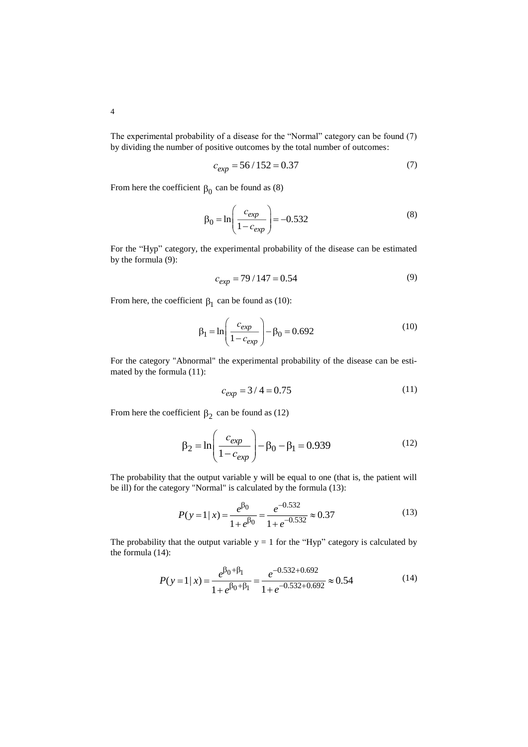The experimental probability of a disease for the "Normal" category can be found (7) by dividing the number of positive outcomes by the total number of outcomes:

$$
c_{exp} = 56 / 152 = 0.37
$$
 (7)

From here the coefficient  $\beta_0$  can be found as (8)

$$
\beta_0 = \ln \left( \frac{c_{exp}}{1 - c_{exp}} \right) = -0.532
$$
 (8)

For the "Hyp" category, the experimental probability of the disease can be estimated by the formula (9):

$$
c_{exp} = 79 / 147 = 0.54
$$
 (9)

From here, the coefficient  $\beta_1$  can be found as (10):

$$
\beta_1 = \ln \left( \frac{c_{exp}}{1 - c_{exp}} \right) - \beta_0 = 0.692
$$
\n(10)

For the category "Abnormal" the experimental probability of the disease can be estimated by the formula (11):

$$
c_{exp} = 3/4 = 0.75
$$
 (11)

From here the coefficient  $\beta_2$  can be found as (12)

$$
\beta_2 = \ln \left( \frac{c_{exp}}{1 - c_{exp}} \right) - \beta_0 - \beta_1 = 0.939 \tag{12}
$$

The probability that the output variable y will be equal to one (that is, the patient will be ill) for the category "Normal" is calculated by the formula (13):

$$
P(y=1|x) = \frac{e^{\beta_0}}{1+e^{\beta_0}} = \frac{e^{-0.532}}{1+e^{-0.532}} \approx 0.37
$$
 (13)

The probability that the output variable  $y = 1$  for the "Hyp" category is calculated by the formula (14):

$$
P(y=1|x) = \frac{e^{\beta_0 + \beta_1}}{1 + e^{\beta_0 + \beta_1}} = \frac{e^{-0.532 + 0.692}}{1 + e^{-0.532 + 0.692}} \approx 0.54
$$
 (14)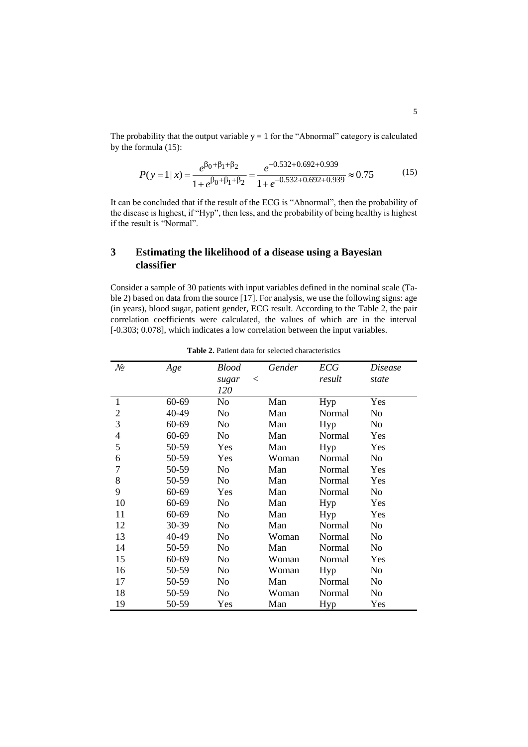The probability that the output variable  $y = 1$  for the "Abnormal" category is calculated by the formula (15):

$$
P(y=1|x) = \frac{e^{\beta_0 + \beta_1 + \beta_2}}{1 + e^{\beta_0 + \beta_1 + \beta_2}} = \frac{e^{-0.532 + 0.692 + 0.939}}{1 + e^{-0.532 + 0.692 + 0.939}} \approx 0.75
$$
(15)

It can be concluded that if the result of the ECG is "Abnormal", then the probability of the disease is highest, if "Hyp", then less, and the probability of being healthy is highest if the result is "Normal".

# **3 Estimating the likelihood of a disease using a Bayesian classifier**

Consider a sample of 30 patients with input variables defined in the nominal scale (Table 2) based on data from the source [17]. For analysis, we use the following signs: age (in years), blood sugar, patient gender, ECG result. According to the Table 2, the pair correlation coefficients were calculated, the values of which are in the interval [-0.303; 0.078], which indicates a low correlation between the input variables.

| $\mathcal{N}$ o | Age   | <b>Blood</b>     | Gender | <b>ECG</b> | Disease        |
|-----------------|-------|------------------|--------|------------|----------------|
|                 |       | sugar<br>$\,<\,$ |        | result     | state          |
|                 |       | 120              |        |            |                |
| $\mathbf{1}$    | 60-69 | No               | Man    | Hyp        | Yes            |
| $\overline{2}$  | 40-49 | No               | Man    | Normal     | No             |
| 3               | 60-69 | N <sub>o</sub>   | Man    | <b>Hyp</b> | No             |
| $\overline{4}$  | 60-69 | No               | Man    | Normal     | Yes            |
| 5               | 50-59 | Yes              | Man    | <b>Hyp</b> | Yes            |
| 6               | 50-59 | Yes              | Woman  | Normal     | No             |
| 7               | 50-59 | No               | Man    | Normal     | Yes            |
| 8               | 50-59 | No               | Man    | Normal     | Yes            |
| 9               | 60-69 | Yes              | Man    | Normal     | No             |
| 10              | 60-69 | N <sub>o</sub>   | Man    | Hyp        | Yes            |
| 11              | 60-69 | No               | Man    | <b>Hyp</b> | Yes            |
| 12              | 30-39 | N <sub>o</sub>   | Man    | Normal     | N <sub>o</sub> |
| 13              | 40-49 | N <sub>o</sub>   | Woman  | Normal     | N <sub>o</sub> |
| 14              | 50-59 | No               | Man    | Normal     | No             |
| 15              | 60-69 | No               | Woman  | Normal     | Yes            |
| 16              | 50-59 | No               | Woman  | <b>Hyp</b> | No             |
| 17              | 50-59 | No               | Man    | Normal     | N <sub>o</sub> |
| 18              | 50-59 | No               | Woman  | Normal     | No             |
| 19              | 50-59 | Yes              | Man    | Hyp        | Yes            |

**Table 2.** Patient data for selected characteristics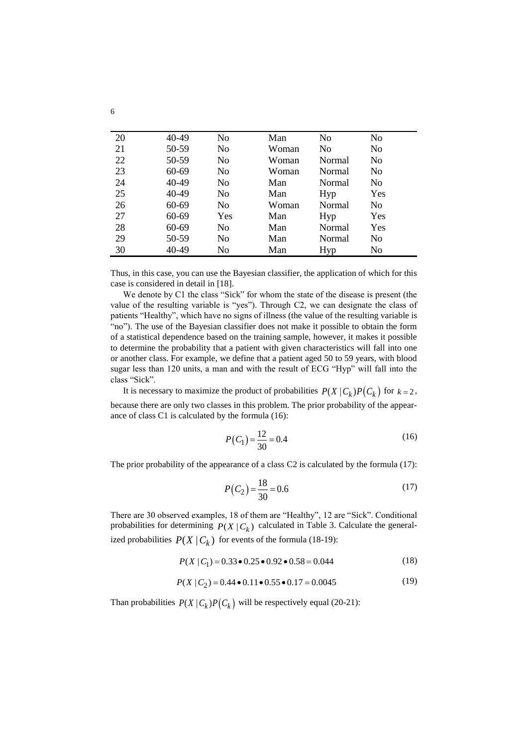| 20 | 40-49 | No  | Man   | No             | No  |  |
|----|-------|-----|-------|----------------|-----|--|
| 21 | 50-59 | No  | Woman | N <sub>0</sub> | No  |  |
| 22 | 50-59 | No  | Woman | Normal         | No  |  |
| 23 | 60-69 | No  | Woman | Normal         | No  |  |
| 24 | 40-49 | No  | Man   | Normal         | No  |  |
| 25 | 40-49 | No  | Man   | Hyp            | Yes |  |
| 26 | 60-69 | No  | Woman | <b>Normal</b>  | No  |  |
| 27 | 60-69 | Yes | Man   | Hyp            | Yes |  |
| 28 | 60-69 | No  | Man   | Normal         | Yes |  |
| 29 | 50-59 | No  | Man   | Normal         | No  |  |
| 30 | 40-49 | No  | Man   | Hyp            | No. |  |

Thus, in this case, you can use the Bayesian classifier, the application of which for this case is considered in detail in [18].

We denote by C1 the class "Sick" for whom the state of the disease is present (the value of the resulting variable is "yes"). Through C2, we can designate the class of patients "Healthy", which have no signs of illness (the value of the resulting variable is "no"). The use of the Bayesian classifier does not make it possible to obtain the form of a statistical dependence based on the training sample, however, it makes it possible to determine the probability that a patient with given characteristics will fall into one or another class. For example, we define that a patient aged 50 to 59 years, with blood sugar less than 120 units, a man and with the result of ECG "Hyp" will fall into the class "Sick".

It is necessary to maximize the product of probabilities  $P(X | C_k)P(C_k)$  for  $k = 2$ , because there are only two classes in this problem. The prior probability of the appearance of class C1 is calculated by the formula (16):

$$
P(C_1) = \frac{12}{30} = 0.4
$$
 (16)

The prior probability of the appearance of a class C2 is calculated by the formula (17):

$$
P(C_2) = \frac{18}{30} = 0.6\tag{17}
$$

There are 30 observed examples, 18 of them are "Healthy", 12 are "Sick". Conditional probabilities for determining  $P(X | C_k)$  calculated in Table 3. Calculate the generalized probabilities  $P(X | C_k)$  for events of the formula (18-19):

$$
P(X \mid C_1) = 0.33 \bullet 0.25 \bullet 0.92 \bullet 0.58 = 0.044
$$
 (18)

$$
P(X \mid C_1) = 0.33 \bullet 0.25 \bullet 0.92 \bullet 0.58 = 0.044
$$
\n
$$
P(X \mid C_2) = 0.44 \bullet 0.11 \bullet 0.55 \bullet 0.17 = 0.0045
$$
\n(19)

Than probabilities  $P(X | C_k)P(C_k)$  will be respectively equal (20-21):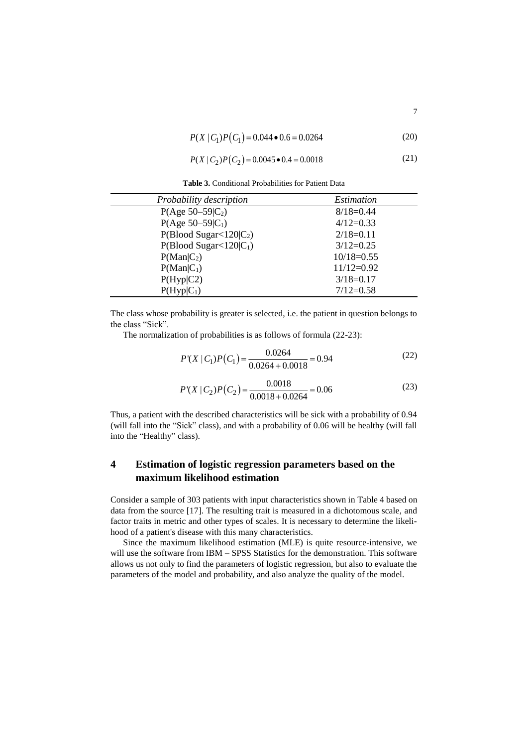$$
P(X \mid C_1)P(C_1) = 0.044 \bullet 0.6 = 0.0264
$$
 (20)

$$
P(X \mid C_2)P(C_2) = 0.0045 \cdot 0.4 = 0.0018 \tag{21}
$$

**Table 3.** Conditional Probabilities for Patient Data

 $\overline{a}$ 

| Probability description   | Estimation   |
|---------------------------|--------------|
| $P(Age 50-59 C_2)$        | $8/18=0.44$  |
| $P(Age 50-59 C_1)$        | $4/12=0.33$  |
| $P(Blood\ Sugar<120 C_2)$ | $2/18=0.11$  |
| $P(Blood\ Sugar<120 C_1)$ | $3/12=0.25$  |
| $P(Man C_2)$              | $10/18=0.55$ |
| $P(Man C_1)$              | $11/12=0.92$ |
| P(Hyp C2)                 | $3/18=0.17$  |
| $P(Hyp C_1)$              | $7/12=0.58$  |

The class whose probability is greater is selected, i.e. the patient in question belongs to the class "Sick".

The normalization of probabilities is as follows of formula (22-23):

$$
P'(X \mid C_1)P(C_1) = \frac{0.0264}{0.0264 + 0.0018} = 0.94\tag{22}
$$

$$
P'(X \mid C_2)P(C_2) = \frac{0.0018}{0.0018 + 0.0264} = 0.06\tag{23}
$$

Thus, a patient with the described characteristics will be sick with a probability of 0.94 (will fall into the "Sick" class), and with a probability of 0.06 will be healthy (will fall into the "Healthy" class).

# **4 Estimation of logistic regression parameters based on the maximum likelihood estimation**

Consider a sample of 303 patients with input characteristics shown in Table 4 based on data from the source [17]. The resulting trait is measured in a dichotomous scale, and factor traits in metric and other types of scales. It is necessary to determine the likelihood of a patient's disease with this many characteristics.

Since the maximum likelihood estimation (MLE) is quite resource-intensive, we will use the software from IBM – SPSS Statistics for the demonstration. This software allows us not only to find the parameters of logistic regression, but also to evaluate the parameters of the model and probability, and also analyze the quality of the model.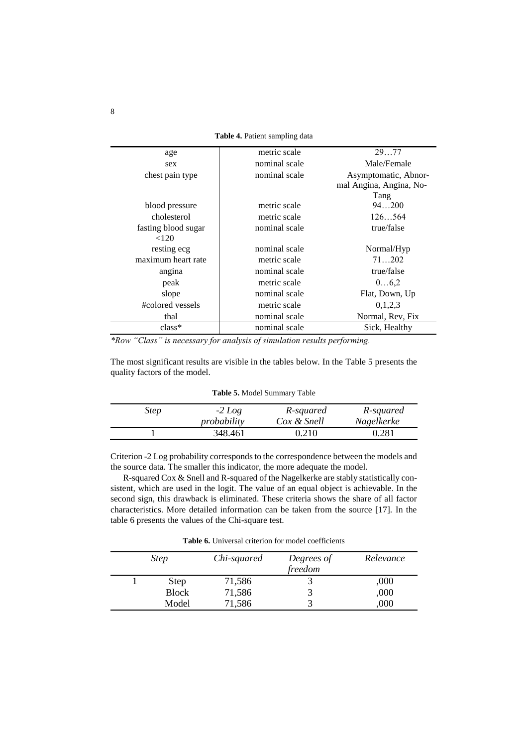| age                 | metric scale  | 2977                    |
|---------------------|---------------|-------------------------|
| sex                 | nominal scale | Male/Female             |
| chest pain type     | nominal scale | Asymptomatic, Abnor-    |
|                     |               | mal Angina, Angina, No- |
|                     |               | Tang                    |
| blood pressure      | metric scale  | 94200                   |
| cholesterol         | metric scale  | 126564                  |
| fasting blood sugar | nominal scale | true/false              |
| <120                |               |                         |
| resting ecg         | nominal scale | Normal/Hyp              |
| maximum heart rate  | metric scale  | 71202                   |
| angina              | nominal scale | true/false              |
| peak                | metric scale  | 06,2                    |
| slope               | nominal scale | Flat, Down, Up          |
| #colored vessels    | metric scale  | 0,1,2,3                 |
| thal                | nominal scale | Normal, Rev, Fix        |
| $class*$            | nominal scale | Sick, Healthy           |
|                     |               |                         |

*\*Row "Class" is necessary for analysis of simulation results performing.*

The most significant results are visible in the tables below. In the Table 5 presents the quality factors of the model.

|  |  |  | Table 5. Model Summary Table |  |
|--|--|--|------------------------------|--|
|--|--|--|------------------------------|--|

| <b>Step</b> | $-2 Log$    | R-squared   | R-squared  |
|-------------|-------------|-------------|------------|
|             | probability | Cox & Snell | Nagelkerke |
|             | 348.461     | 0.210       | 0.281      |

Criterion -2 Log probability corresponds to the correspondence between the models and the source data. The smaller this indicator, the more adequate the model.

R-squared Cox & Snell and R-squared of the Nagelkerke are stably statistically consistent, which are used in the logit. The value of an equal object is achievable. In the second sign, this drawback is eliminated. These criteria shows the share of all factor characteristics. More detailed information can be taken from the source [17]. In the table 6 presents the values of the Chi-square test.

**Table 6.** Universal criterion for model coefficients

| <b>Step</b>  | Chi-squared | Degrees of<br>freedom | Relevance |
|--------------|-------------|-----------------------|-----------|
| Step         | 71,586      |                       | ,000      |
| <b>Block</b> | 71,586      |                       | ,000      |
| Model        | 71,586      |                       | ,000      |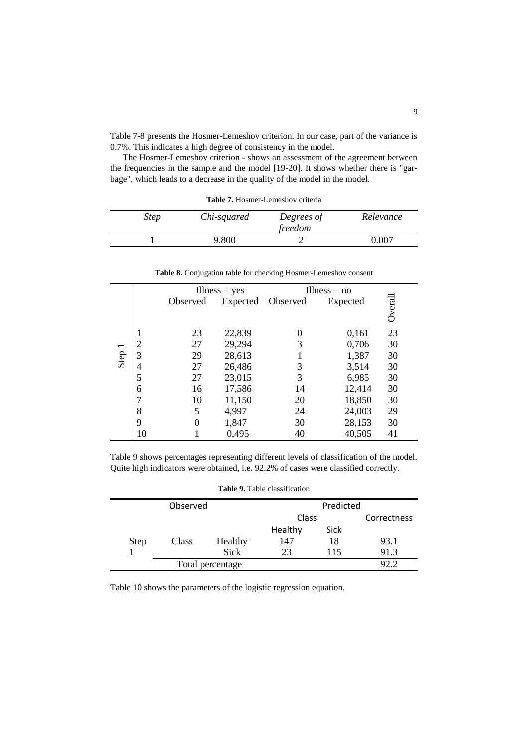Table 7-8 presents the Hosmer-Lemeshov criterion. In our case, part of the variance is 0.7%. This indicates a high degree of consistency in the model.

The Hosmer-Lemeshov criterion - shows an assessment of the agreement between the frequencies in the sample and the model [19-20]. It shows whether there is "garbage", which leads to a decrease in the quality of the model in the model.

| <i>Step</i> | Chi-squared | Degrees of<br>freedom | Relevance |
|-------------|-------------|-----------------------|-----------|
|             | 9.800       |                       |           |

**Table 7.** Hosmer-Lemeshov criteria

|  |  | Table 8. Conjugation table for checking Hosmer-Lemeshov consent |  |
|--|--|-----------------------------------------------------------------|--|
|  |  |                                                                 |  |

|        |                |          | Illness = $yes$ |          | Illness $=$ no |        |
|--------|----------------|----------|-----------------|----------|----------------|--------|
|        |                | Observed | Expected        | Observed | Expected       | Overal |
|        |                |          |                 |          |                |        |
|        |                | 23       | 22,839          | 0        | 0,161          | 23     |
|        | $\overline{2}$ | 27       | 29,294          | 3        | 0,706          | 30     |
| Step 1 | 3              | 29       | 28,613          |          | 1,387          | 30     |
|        | 4              | 27       | 26,486          | 3        | 3,514          | 30     |
|        | 5              | 27       | 23,015          | 3        | 6,985          | 30     |
|        | 6              | 16       | 17,586          | 14       | 12,414         | 30     |
|        | 7              | 10       | 11,150          | 20       | 18,850         | 30     |
|        | 8              | 5        | 4,997           | 24       | 24,003         | 29     |
|        | 9              | 0        | 1,847           | 30       | 28,153         | 30     |
|        | 10             |          | 0,495           | 40       | 40,505         | 41     |

Table 9 shows percentages representing different levels of classification of the model. Quite high indicators were obtained, i.e. 92.2% of cases were classified correctly.

| Observed    |       |                  | Predicted |             |      |  |
|-------------|-------|------------------|-----------|-------------|------|--|
|             |       |                  |           | Class       |      |  |
|             |       |                  | Healthy   | <b>Sick</b> |      |  |
| <b>Step</b> | Class | Healthy          | 147       | 18          | 93.1 |  |
|             |       | Sick             | 23        | 115         | 91.3 |  |
|             |       | Total percentage |           |             | 92.2 |  |

Table 10 shows the parameters of the logistic regression equation.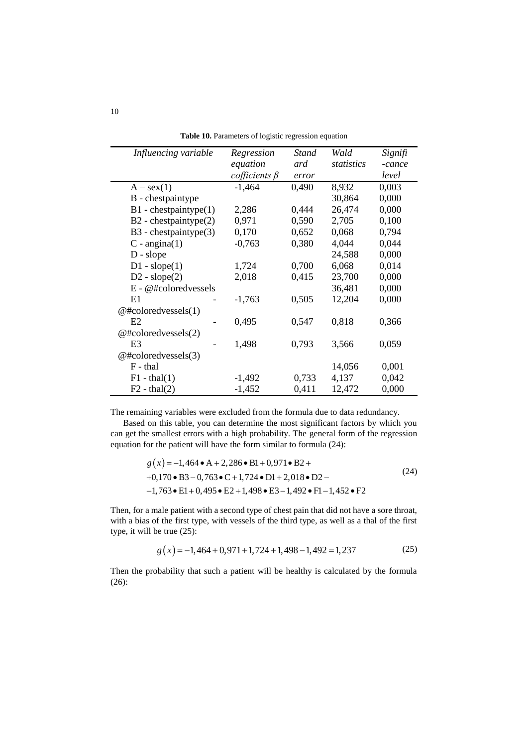| Influencing variable       | Regression            | <b>Stand</b> | Wald       | Signifi |
|----------------------------|-----------------------|--------------|------------|---------|
|                            | equation              | ard          | statistics | -cance  |
|                            | $cofficients$ $\beta$ | error        |            | level   |
| $A - \text{sex}(1)$        | $-1,464$              | 0,490        | 8,932      | 0,003   |
| B - chestpaintype          |                       |              | 30,864     | 0,000   |
| $B1$ - chestpaintype $(1)$ | 2,286                 | 0,444        | 26,474     | 0,000   |
| $B2$ - chestpaintype $(2)$ | 0,971                 | 0,590        | 2,705      | 0,100   |
| $B3$ - chestpaintype $(3)$ | 0,170                 | 0,652        | 0,068      | 0,794   |
| $C$ - angina(1)            | $-0,763$              | 0,380        | 4,044      | 0,044   |
| $D - slope$                |                       |              | 24,588     | 0,000   |
| $D1 - slope(1)$            | 1,724                 | 0,700        | 6,068      | 0,014   |
| $D2 - slope(2)$            | 2,018                 | 0,415        | 23,700     | 0,000   |
| E - @#coloredvessels       |                       |              | 36,481     | 0,000   |
| E1                         | $-1,763$              | 0,505        | 12,204     | 0,000   |
| @#colored vessels(1)       |                       |              |            |         |
| E2                         | 0,495                 | 0,547        | 0,818      | 0,366   |
| @#coloredvessels $(2)$     |                       |              |            |         |
| E <sub>3</sub>             | 1,498                 | 0,793        | 3,566      | 0,059   |
| @#coloredvessels $(3)$     |                       |              |            |         |
| F - thal                   |                       |              | 14,056     | 0,001   |
| $F1 - \text{thal}(1)$      | $-1,492$              | 0,733        | 4,137      | 0,042   |
| $F2 - thal(2)$             | $-1,452$              | 0,411        | 12,472     | 0,000   |

**Table 10.** Parameters of logistic regression equation

The remaining variables were excluded from the formula due to data redundancy.

Based on this table, you can determine the most significant factors by which you can get the smallest errors with a high probability. The general form of the regression equation for the patient will have the form similar to formula (24):

$$
g(x) = -1,464 \cdot A + 2,286 \cdot B1 + 0,971 \cdot B2 ++0,170 \cdot B3 - 0,763 \cdot C + 1,724 \cdot D1 + 2,018 \cdot D2 --1,763 \cdot E1 + 0,495 \cdot E2 + 1,498 \cdot E3 - 1,492 \cdot F1 - 1,452 \cdot F2
$$
 (24)

Then, for a male patient with a second type of chest pain that did not have a sore throat, with a bias of the first type, with vessels of the third type, as well as a thal of the first type, it will be true  $(25)$ :

$$
g(x) = -1,464 + 0,971 + 1,724 + 1,498 - 1,492 = 1,237
$$
 (25)

Then the probability that such a patient will be healthy is calculated by the formula (26):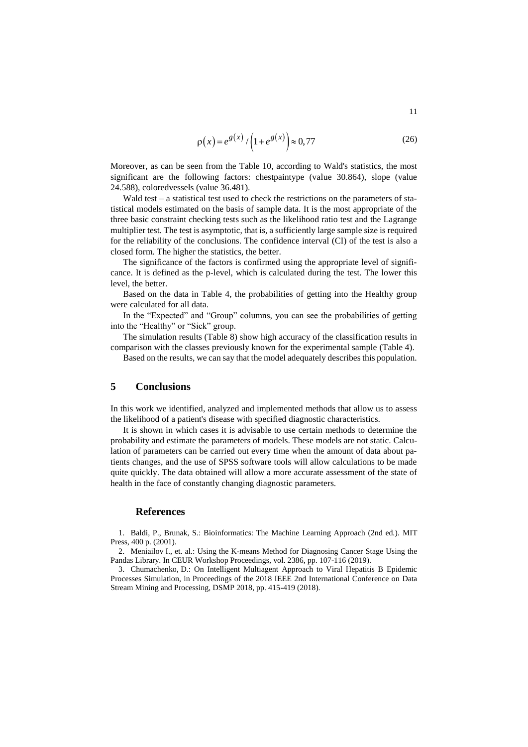$$
\rho(x) = e^{g(x)} / (1 + e^{g(x)}) \approx 0.77
$$
\n(26)

Moreover, as can be seen from the Table 10, according to Wald's statistics, the most significant are the following factors: chestpaintype (value 30.864), slope (value 24.588), coloredvessels (value 36.481).

Wald test – a statistical test used to check the restrictions on the parameters of statistical models estimated on the basis of sample data. It is the most appropriate of the three basic constraint checking tests such as the likelihood ratio test and the Lagrange multiplier test. The test is asymptotic, that is, a sufficiently large sample size is required for the reliability of the conclusions. The confidence interval (CI) of the test is also a closed form. The higher the statistics, the better.

The significance of the factors is confirmed using the appropriate level of significance. It is defined as the p-level, which is calculated during the test. The lower this level, the better.

Based on the data in Table 4, the probabilities of getting into the Healthy group were calculated for all data.

In the "Expected" and "Group" columns, you can see the probabilities of getting into the "Healthy" or "Sick" group.

The simulation results (Table 8) show high accuracy of the classification results in comparison with the classes previously known for the experimental sample (Table 4).

Based on the results, we can say that the model adequately describes this population.

#### **5 Conclusions**

In this work we identified, analyzed and implemented methods that allow us to assess the likelihood of a patient's disease with specified diagnostic characteristics.

It is shown in which cases it is advisable to use certain methods to determine the probability and estimate the parameters of models. These models are not static. Calculation of parameters can be carried out every time when the amount of data about patients changes, and the use of SPSS software tools will allow calculations to be made quite quickly. The data obtained will allow a more accurate assessment of the state of health in the face of constantly changing diagnostic parameters.

#### **References**

1. Baldi, P., Brunak, S.: Bioinformatics: The Machine Learning Approach (2nd ed.). MIT Press, 400 p. (2001).

2. Meniailov I., et. al.: Using the K-means Method for Diagnosing Cancer Stage Using the Pandas Library. In CEUR Workshop Proceedings, vol. 2386, pp. 107-116 (2019).

3. Chumachenko, D.: On Intelligent Multiagent Approach to Viral Hepatitis B Epidemic Processes Simulation, in Proceedings of the 2018 IEEE 2nd International Conference on Data Stream Mining and Processing, DSMP 2018, pp. 415-419 (2018).